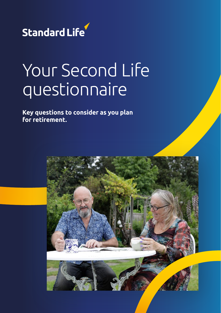

# Your Second Life questionnaire

**Key questions to consider as you plan for retirement.**

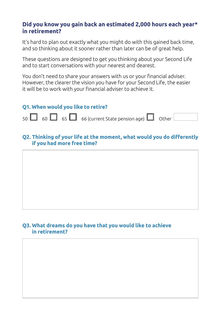## **Did you know you gain back an estimated 2,000 hours each year\* in retirement?**

It's hard to plan out exactly what you might do with this gained back time, and so thinking about it sooner rather than later can be of great help.

These questions are designed to get you thinking about your Second Life and to start conversations with your nearest and dearest.

You don't need to share your answers with us or your financial adviser. However, the clearer the vision you have for your Second Life, the easier it will be to work with your financial adviser to achieve it.



### **Q2. Thinking of your life at the moment, what would you do differently if you had more free time?**

#### **Q3. What dreams do you have that you would like to achieve in retirement?**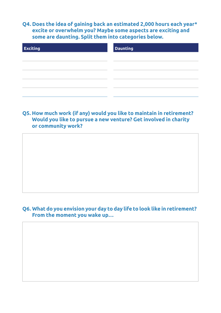**Q4. Does the idea of gaining back an estimated 2,000 hours each year\* excite or overwhelm you? Maybe some aspects are exciting and some are daunting. Split them into categories below.**

| <b>Exciting</b> | <b>Daunting</b> |  |  |
|-----------------|-----------------|--|--|
|                 |                 |  |  |
|                 |                 |  |  |
|                 |                 |  |  |
|                 |                 |  |  |
|                 |                 |  |  |

#### **Q5. How much work (if any) would you like to maintain in retirement? Would you like to pursue a new venture? Get involved in charity or community work?**

**Q6. What do you envision your day to day life to look like in retirement? From the moment you wake up…**